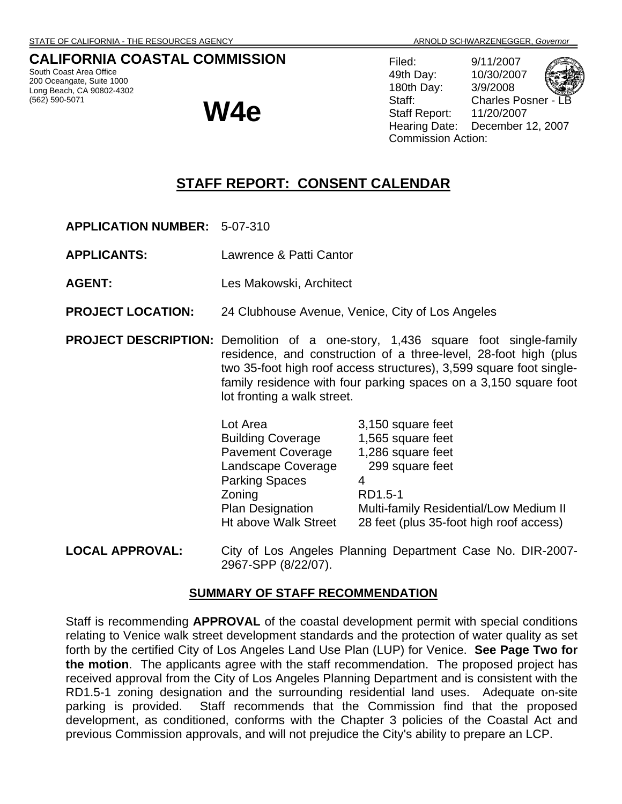## **CALIFORNIA COASTAL COMMISSION**

South Coast Area Office 200 Oceangate, Suite 1000 Long Beach, CA 90802-4302 (562) 590-5071

**W4e** 

Filed: 9/11/2007 49th Day: 10/30/2007 180th Day: 3/9/2008 Staff: Charles Posner Staff Report: 11/20/2007 Hearing Date: December 12, 2007 Commission Action:

# **STAFF REPORT: CONSENT CALENDAR**

- **APPLICATION NUMBER:** 5-07-310
- **APPLICANTS:** Lawrence & Patti Cantor
- **AGENT:** Les Makowski, Architect
- **PROJECT LOCATION:** 24 Clubhouse Avenue, Venice, City of Los Angeles

**PROJECT DESCRIPTION:** Demolition of a one-story, 1,436 square foot single-family residence, and construction of a three-level, 28-foot high (plus two 35-foot high roof access structures), 3,599 square foot singlefamily residence with four parking spaces on a 3,150 square foot lot fronting a walk street.

| Lot Area                    | 3,150 square feet                       |
|-----------------------------|-----------------------------------------|
| <b>Building Coverage</b>    | 1,565 square feet                       |
| <b>Pavement Coverage</b>    | 1,286 square feet                       |
| Landscape Coverage          | 299 square feet                         |
| <b>Parking Spaces</b>       | 4                                       |
| Zoning                      | RD1.5-1                                 |
| <b>Plan Designation</b>     | Multi-family Residential/Low Medium II  |
| <b>Ht above Walk Street</b> | 28 feet (plus 35-foot high roof access) |
|                             |                                         |

**LOCAL APPROVAL:** City of Los Angeles Planning Department Case No. DIR-2007- 2967-SPP (8/22/07).

## **SUMMARY OF STAFF RECOMMENDATION**

Staff is recommending **APPROVAL** of the coastal development permit with special conditions relating to Venice walk street development standards and the protection of water quality as set forth by the certified City of Los Angeles Land Use Plan (LUP) for Venice. **See Page Two for the motion**. The applicants agree with the staff recommendation. The proposed project has received approval from the City of Los Angeles Planning Department and is consistent with the RD1.5-1 zoning designation and the surrounding residential land uses. Adequate on-site parking is provided. Staff recommends that the Commission find that the proposed development, as conditioned, conforms with the Chapter 3 policies of the Coastal Act and previous Commission approvals, and will not prejudice the City's ability to prepare an LCP.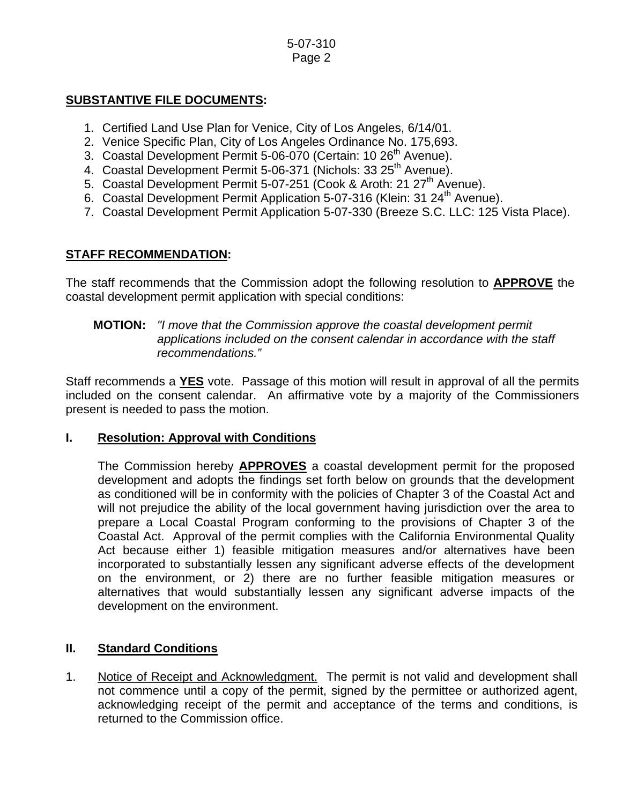#### 5-07-310 Page 2

## **SUBSTANTIVE FILE DOCUMENTS:**

- 1. Certified Land Use Plan for Venice, City of Los Angeles, 6/14/01.
- 2. Venice Specific Plan, City of Los Angeles Ordinance No. 175,693.
- 3. Coastal Development Permit 5-06-070 (Certain: 10 26<sup>th</sup> Avenue).
- 4. Coastal Development Permit 5-06-371 (Nichols: 33 25<sup>th</sup> Avenue).
- 5. Coastal Development Permit 5-07-251 (Cook & Aroth: 21 27<sup>th</sup> Avenue).
- 6. Coastal Development Permit Application 5-07-316 (Klein: 31 24<sup>th</sup> Avenue).
- 7. Coastal Development Permit Application 5-07-330 (Breeze S.C. LLC: 125 Vista Place).

## **STAFF RECOMMENDATION:**

The staff recommends that the Commission adopt the following resolution to **APPROVE** the coastal development permit application with special conditions:

#### **MOTION:** *"I move that the Commission approve the coastal development permit applications included on the consent calendar in accordance with the staff recommendations."*

Staff recommends a **YES** vote. Passage of this motion will result in approval of all the permits included on the consent calendar. An affirmative vote by a majority of the Commissioners present is needed to pass the motion.

### **I. Resolution: Approval with Conditions**

The Commission hereby **APPROVES** a coastal development permit for the proposed development and adopts the findings set forth below on grounds that the development as conditioned will be in conformity with the policies of Chapter 3 of the Coastal Act and will not prejudice the ability of the local government having jurisdiction over the area to prepare a Local Coastal Program conforming to the provisions of Chapter 3 of the Coastal Act. Approval of the permit complies with the California Environmental Quality Act because either 1) feasible mitigation measures and/or alternatives have been incorporated to substantially lessen any significant adverse effects of the development on the environment, or 2) there are no further feasible mitigation measures or alternatives that would substantially lessen any significant adverse impacts of the development on the environment.

## **II. Standard Conditions**

1. Notice of Receipt and Acknowledgment. The permit is not valid and development shall not commence until a copy of the permit, signed by the permittee or authorized agent, acknowledging receipt of the permit and acceptance of the terms and conditions, is returned to the Commission office.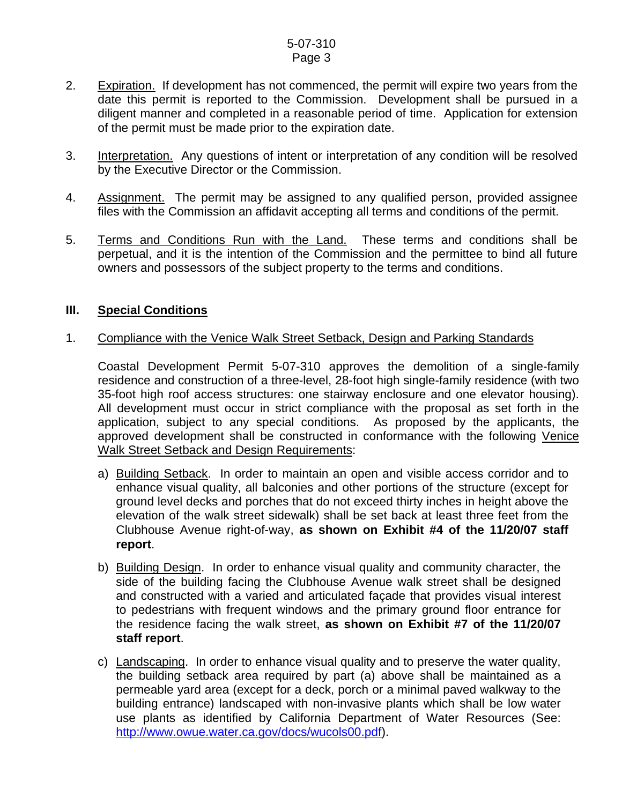#### 5-07-310 Page 3

- 2. Expiration. If development has not commenced, the permit will expire two years from the date this permit is reported to the Commission. Development shall be pursued in a diligent manner and completed in a reasonable period of time. Application for extension of the permit must be made prior to the expiration date.
- 3. Interpretation. Any questions of intent or interpretation of any condition will be resolved by the Executive Director or the Commission.
- 4. Assignment. The permit may be assigned to any qualified person, provided assignee files with the Commission an affidavit accepting all terms and conditions of the permit.
- 5. Terms and Conditions Run with the Land. These terms and conditions shall be perpetual, and it is the intention of the Commission and the permittee to bind all future owners and possessors of the subject property to the terms and conditions.

### **III. Special Conditions**

### 1. Compliance with the Venice Walk Street Setback, Design and Parking Standards

 Coastal Development Permit 5-07-310 approves the demolition of a single-family residence and construction of a three-level, 28-foot high single-family residence (with two 35-foot high roof access structures: one stairway enclosure and one elevator housing). All development must occur in strict compliance with the proposal as set forth in the application, subject to any special conditions. As proposed by the applicants, the approved development shall be constructed in conformance with the following Venice Walk Street Setback and Design Requirements:

- a) Building Setback. In order to maintain an open and visible access corridor and to enhance visual quality, all balconies and other portions of the structure (except for ground level decks and porches that do not exceed thirty inches in height above the elevation of the walk street sidewalk) shall be set back at least three feet from the Clubhouse Avenue right-of-way, **as shown on Exhibit #4 of the 11/20/07 staff report**.
- b) Building Design. In order to enhance visual quality and community character, the side of the building facing the Clubhouse Avenue walk street shall be designed and constructed with a varied and articulated façade that provides visual interest to pedestrians with frequent windows and the primary ground floor entrance for the residence facing the walk street, **as shown on Exhibit #7 of the 11/20/07 staff report**.
- c) Landscaping. In order to enhance visual quality and to preserve the water quality, the building setback area required by part (a) above shall be maintained as a permeable yard area (except for a deck, porch or a minimal paved walkway to the building entrance) landscaped with non-invasive plants which shall be low water use plants as identified by California Department of Water Resources (See: [http://www.owue.water.ca.gov/docs/wucols00.pdf\)](http://www.owue.water.ca.gov/docs/wucols00.pdf).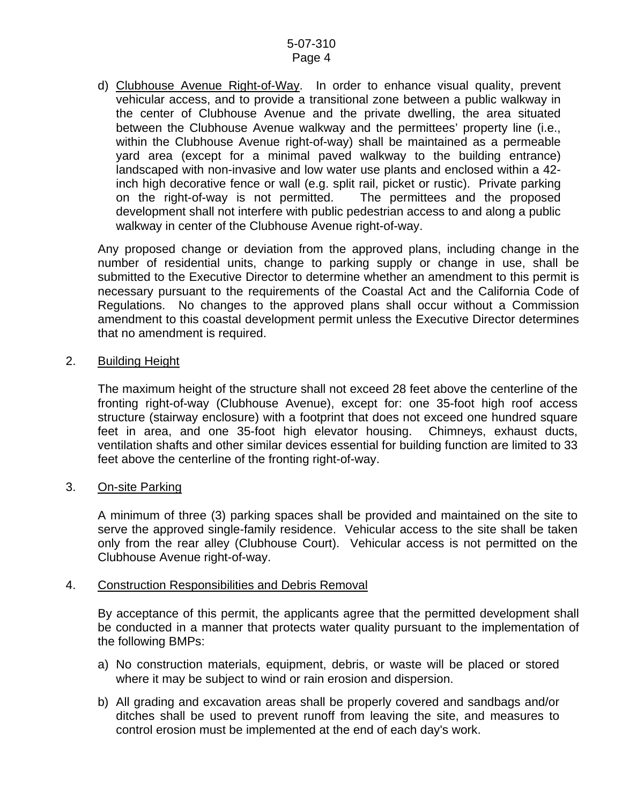d) Clubhouse Avenue Right-of-Way. In order to enhance visual quality, prevent vehicular access, and to provide a transitional zone between a public walkway in the center of Clubhouse Avenue and the private dwelling, the area situated between the Clubhouse Avenue walkway and the permittees' property line (i.e., within the Clubhouse Avenue right-of-way) shall be maintained as a permeable yard area (except for a minimal paved walkway to the building entrance) landscaped with non-invasive and low water use plants and enclosed within a 42 inch high decorative fence or wall (e.g. split rail, picket or rustic). Private parking on the right-of-way is not permitted. The permittees and the proposed development shall not interfere with public pedestrian access to and along a public walkway in center of the Clubhouse Avenue right-of-way.

Any proposed change or deviation from the approved plans, including change in the number of residential units, change to parking supply or change in use, shall be submitted to the Executive Director to determine whether an amendment to this permit is necessary pursuant to the requirements of the Coastal Act and the California Code of Regulations. No changes to the approved plans shall occur without a Commission amendment to this coastal development permit unless the Executive Director determines that no amendment is required.

#### 2. Building Height

The maximum height of the structure shall not exceed 28 feet above the centerline of the fronting right-of-way (Clubhouse Avenue), except for: one 35-foot high roof access structure (stairway enclosure) with a footprint that does not exceed one hundred square feet in area, and one 35-foot high elevator housing. Chimneys, exhaust ducts, ventilation shafts and other similar devices essential for building function are limited to 33 feet above the centerline of the fronting right-of-way.

#### 3. On-site Parking

A minimum of three (3) parking spaces shall be provided and maintained on the site to serve the approved single-family residence. Vehicular access to the site shall be taken only from the rear alley (Clubhouse Court). Vehicular access is not permitted on the Clubhouse Avenue right-of-way.

#### 4. Construction Responsibilities and Debris Removal

By acceptance of this permit, the applicants agree that the permitted development shall be conducted in a manner that protects water quality pursuant to the implementation of the following BMPs:

- a) No construction materials, equipment, debris, or waste will be placed or stored where it may be subject to wind or rain erosion and dispersion.
- b) All grading and excavation areas shall be properly covered and sandbags and/or ditches shall be used to prevent runoff from leaving the site, and measures to control erosion must be implemented at the end of each day's work.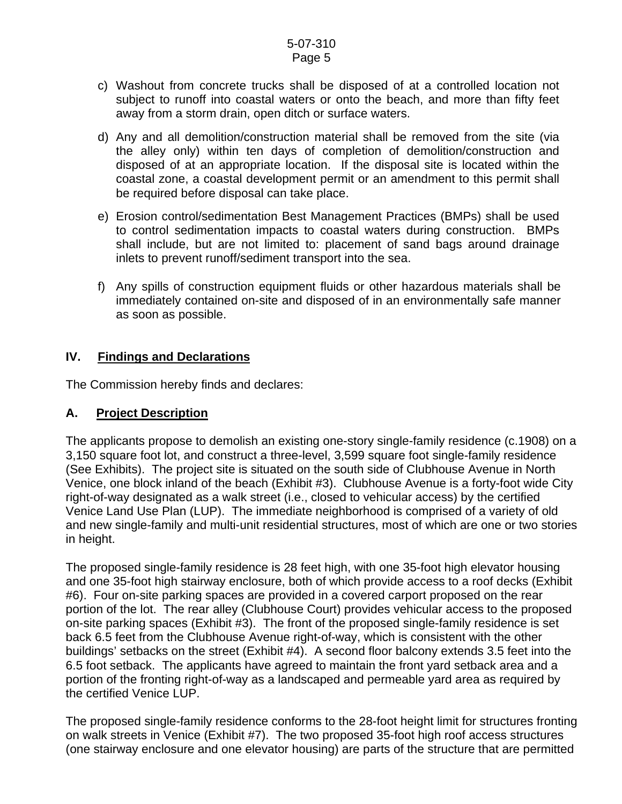#### 5-07-310 Page 5

- c) Washout from concrete trucks shall be disposed of at a controlled location not subject to runoff into coastal waters or onto the beach, and more than fifty feet away from a storm drain, open ditch or surface waters.
- d) Any and all demolition/construction material shall be removed from the site (via the alley only) within ten days of completion of demolition/construction and disposed of at an appropriate location. If the disposal site is located within the coastal zone, a coastal development permit or an amendment to this permit shall be required before disposal can take place.
- e) Erosion control/sedimentation Best Management Practices (BMPs) shall be used to control sedimentation impacts to coastal waters during construction. BMPs shall include, but are not limited to: placement of sand bags around drainage inlets to prevent runoff/sediment transport into the sea.
- f) Any spills of construction equipment fluids or other hazardous materials shall be immediately contained on-site and disposed of in an environmentally safe manner as soon as possible.

## **IV. Findings and Declarations**

The Commission hereby finds and declares:

## **A. Project Description**

The applicants propose to demolish an existing one-story single-family residence (c.1908) on a 3,150 square foot lot, and construct a three-level, 3,599 square foot single-family residence (See Exhibits). The project site is situated on the south side of Clubhouse Avenue in North Venice, one block inland of the beach (Exhibit #3). Clubhouse Avenue is a forty-foot wide City right-of-way designated as a walk street (i.e., closed to vehicular access) by the certified Venice Land Use Plan (LUP). The immediate neighborhood is comprised of a variety of old and new single-family and multi-unit residential structures, most of which are one or two stories in height.

The proposed single-family residence is 28 feet high, with one 35-foot high elevator housing and one 35-foot high stairway enclosure, both of which provide access to a roof decks (Exhibit #6). Four on-site parking spaces are provided in a covered carport proposed on the rear portion of the lot. The rear alley (Clubhouse Court) provides vehicular access to the proposed on-site parking spaces (Exhibit #3). The front of the proposed single-family residence is set back 6.5 feet from the Clubhouse Avenue right-of-way, which is consistent with the other buildings' setbacks on the street (Exhibit #4). A second floor balcony extends 3.5 feet into the 6.5 foot setback. The applicants have agreed to maintain the front yard setback area and a portion of the fronting right-of-way as a landscaped and permeable yard area as required by the certified Venice LUP.

The proposed single-family residence conforms to the 28-foot height limit for structures fronting on walk streets in Venice (Exhibit #7). The two proposed 35-foot high roof access structures (one stairway enclosure and one elevator housing) are parts of the structure that are permitted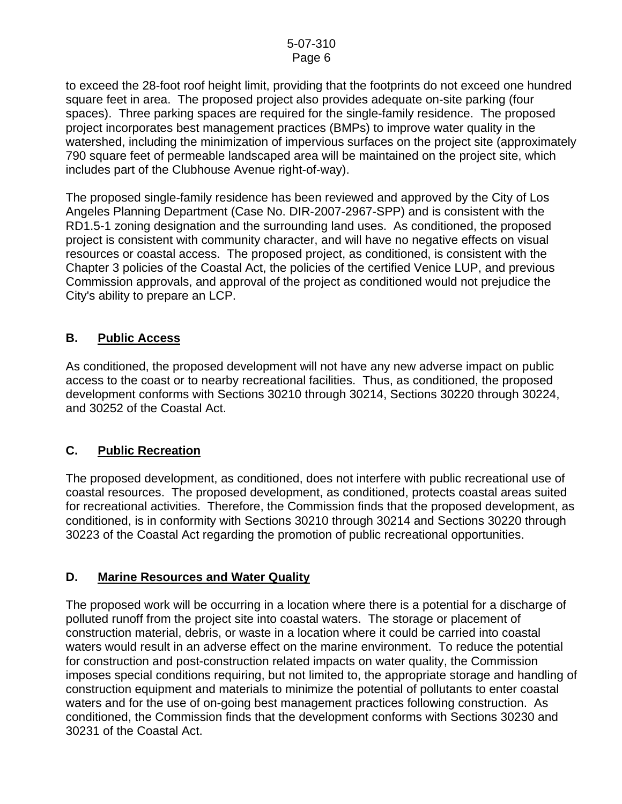to exceed the 28-foot roof height limit, providing that the footprints do not exceed one hundred square feet in area. The proposed project also provides adequate on-site parking (four spaces). Three parking spaces are required for the single-family residence. The proposed project incorporates best management practices (BMPs) to improve water quality in the watershed, including the minimization of impervious surfaces on the project site (approximately 790 square feet of permeable landscaped area will be maintained on the project site, which includes part of the Clubhouse Avenue right-of-way).

The proposed single-family residence has been reviewed and approved by the City of Los Angeles Planning Department (Case No. DIR-2007-2967-SPP) and is consistent with the RD1.5-1 zoning designation and the surrounding land uses. As conditioned, the proposed project is consistent with community character, and will have no negative effects on visual resources or coastal access. The proposed project, as conditioned, is consistent with the Chapter 3 policies of the Coastal Act, the policies of the certified Venice LUP, and previous Commission approvals, and approval of the project as conditioned would not prejudice the City's ability to prepare an LCP.

## **B. Public Access**

As conditioned, the proposed development will not have any new adverse impact on public access to the coast or to nearby recreational facilities. Thus, as conditioned, the proposed development conforms with Sections 30210 through 30214, Sections 30220 through 30224, and 30252 of the Coastal Act.

## **C. Public Recreation**

The proposed development, as conditioned, does not interfere with public recreational use of coastal resources. The proposed development, as conditioned, protects coastal areas suited for recreational activities. Therefore, the Commission finds that the proposed development, as conditioned, is in conformity with Sections 30210 through 30214 and Sections 30220 through 30223 of the Coastal Act regarding the promotion of public recreational opportunities.

## **D. Marine Resources and Water Quality**

The proposed work will be occurring in a location where there is a potential for a discharge of polluted runoff from the project site into coastal waters. The storage or placement of construction material, debris, or waste in a location where it could be carried into coastal waters would result in an adverse effect on the marine environment. To reduce the potential for construction and post-construction related impacts on water quality, the Commission imposes special conditions requiring, but not limited to, the appropriate storage and handling of construction equipment and materials to minimize the potential of pollutants to enter coastal waters and for the use of on-going best management practices following construction. As conditioned, the Commission finds that the development conforms with Sections 30230 and 30231 of the Coastal Act.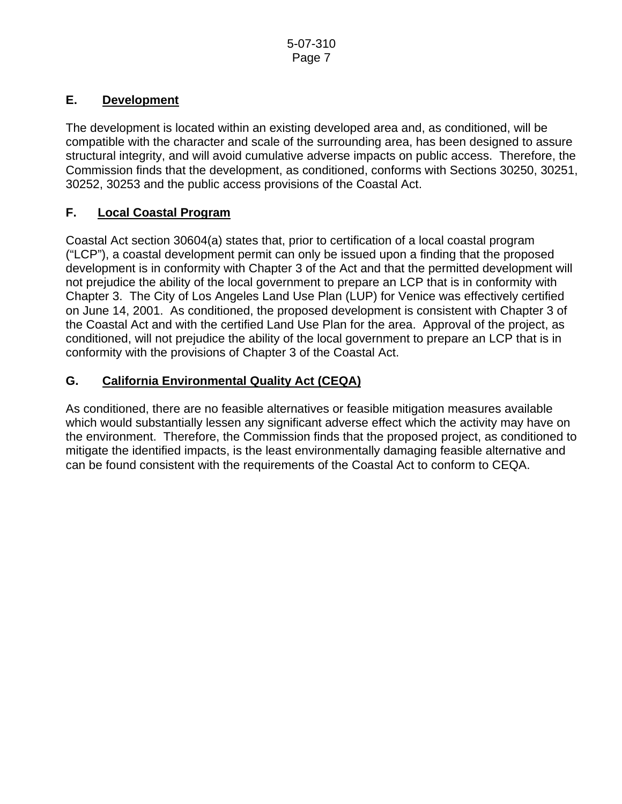## **E. Development**

The development is located within an existing developed area and, as conditioned, will be compatible with the character and scale of the surrounding area, has been designed to assure structural integrity, and will avoid cumulative adverse impacts on public access. Therefore, the Commission finds that the development, as conditioned, conforms with Sections 30250, 30251, 30252, 30253 and the public access provisions of the Coastal Act.

## **F. Local Coastal Program**

Coastal Act section 30604(a) states that, prior to certification of a local coastal program ("LCP"), a coastal development permit can only be issued upon a finding that the proposed development is in conformity with Chapter 3 of the Act and that the permitted development will not prejudice the ability of the local government to prepare an LCP that is in conformity with Chapter 3. The City of Los Angeles Land Use Plan (LUP) for Venice was effectively certified on June 14, 2001. As conditioned, the proposed development is consistent with Chapter 3 of the Coastal Act and with the certified Land Use Plan for the area. Approval of the project, as conditioned, will not prejudice the ability of the local government to prepare an LCP that is in conformity with the provisions of Chapter 3 of the Coastal Act.

## **G. California Environmental Quality Act (CEQA)**

As conditioned, there are no feasible alternatives or feasible mitigation measures available which would substantially lessen any significant adverse effect which the activity may have on the environment. Therefore, the Commission finds that the proposed project, as conditioned to mitigate the identified impacts, is the least environmentally damaging feasible alternative and can be found consistent with the requirements of the Coastal Act to conform to CEQA.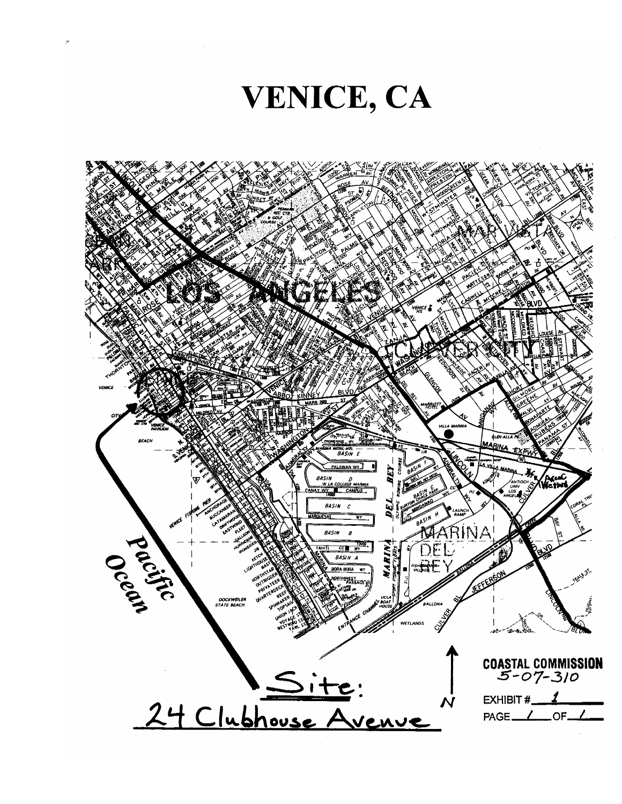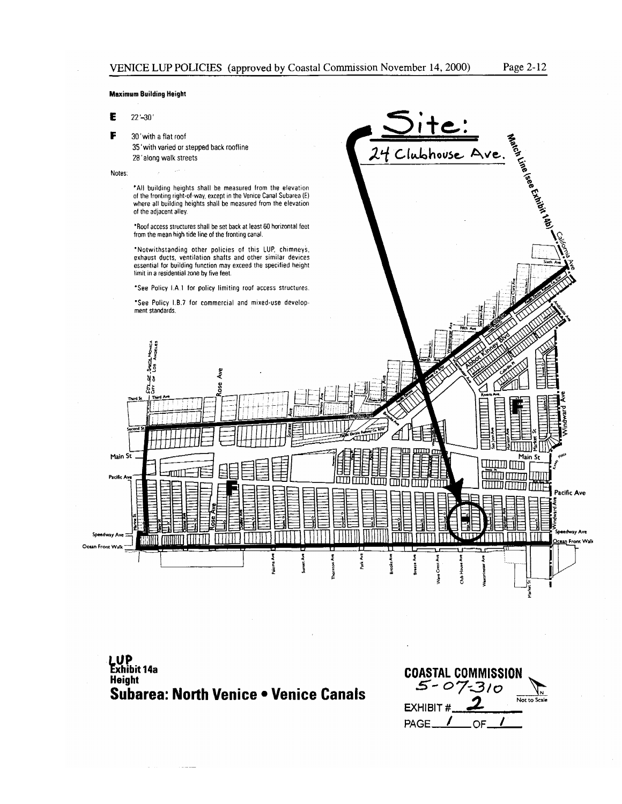Clubhouse Ave.

#### **Maximum Building Height**

E  $22' - 30'$ 

F 30' with a flat roof

> 35' with varied or stepped back roofline 28' along walk streets

#### Notes:





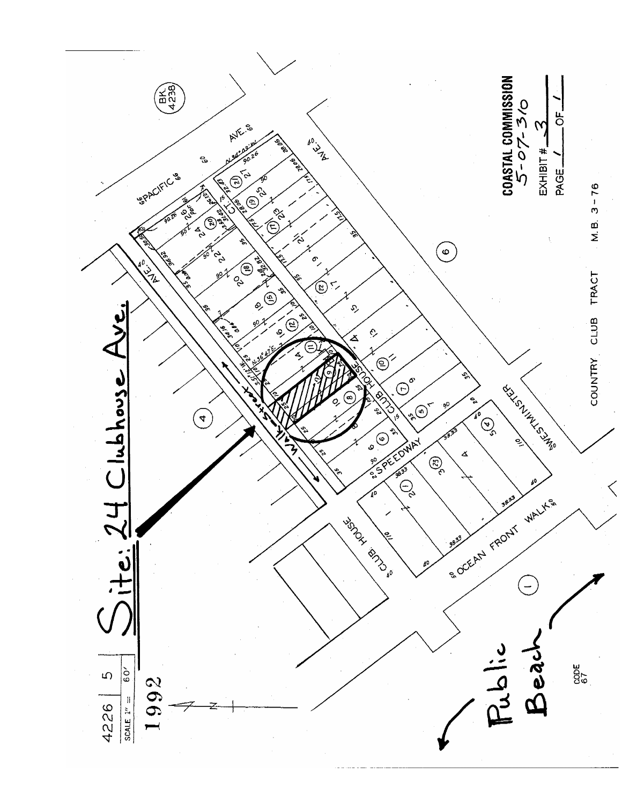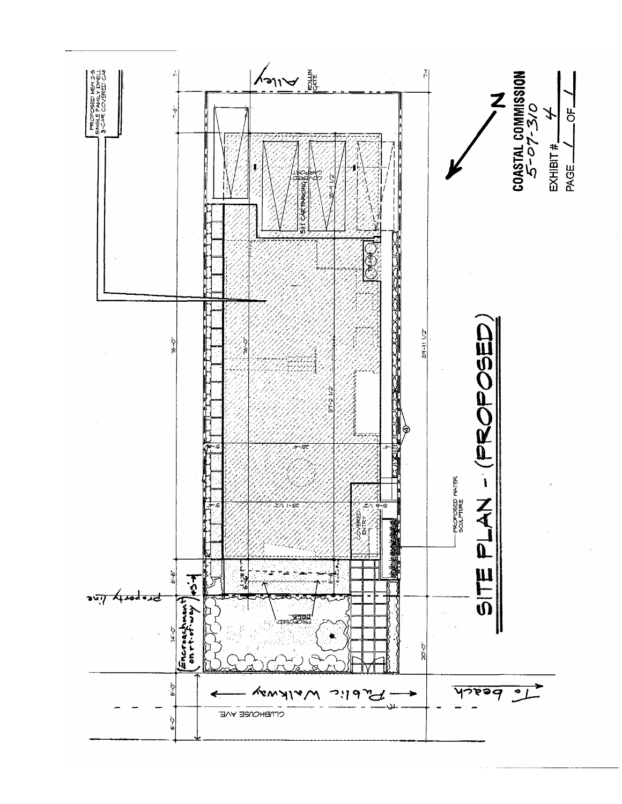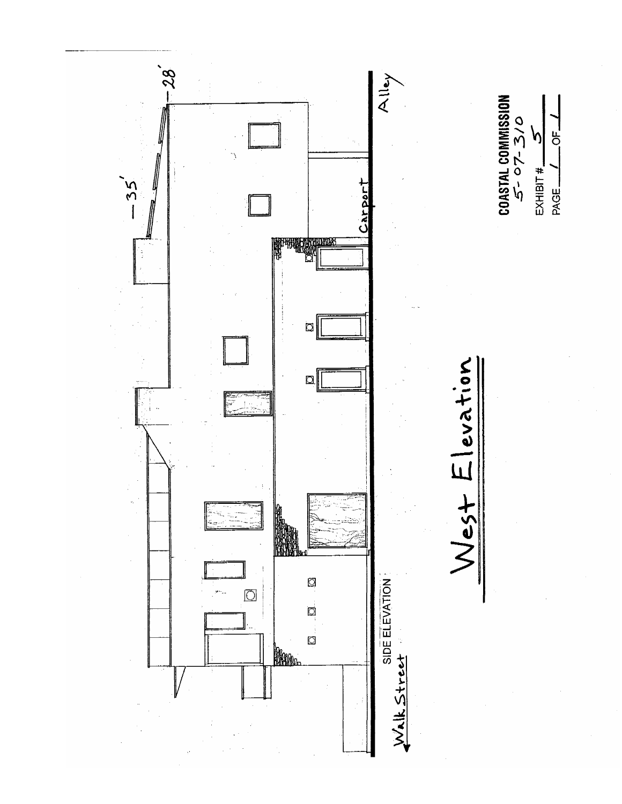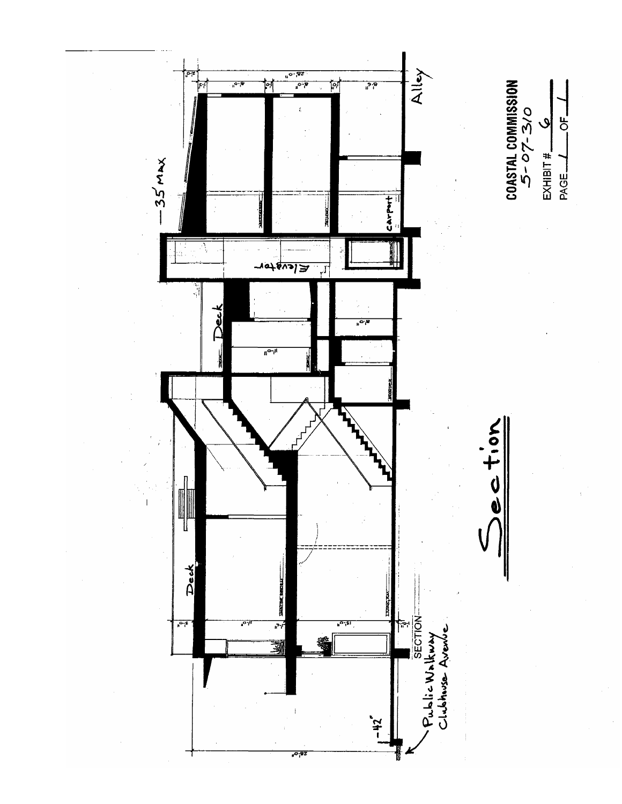